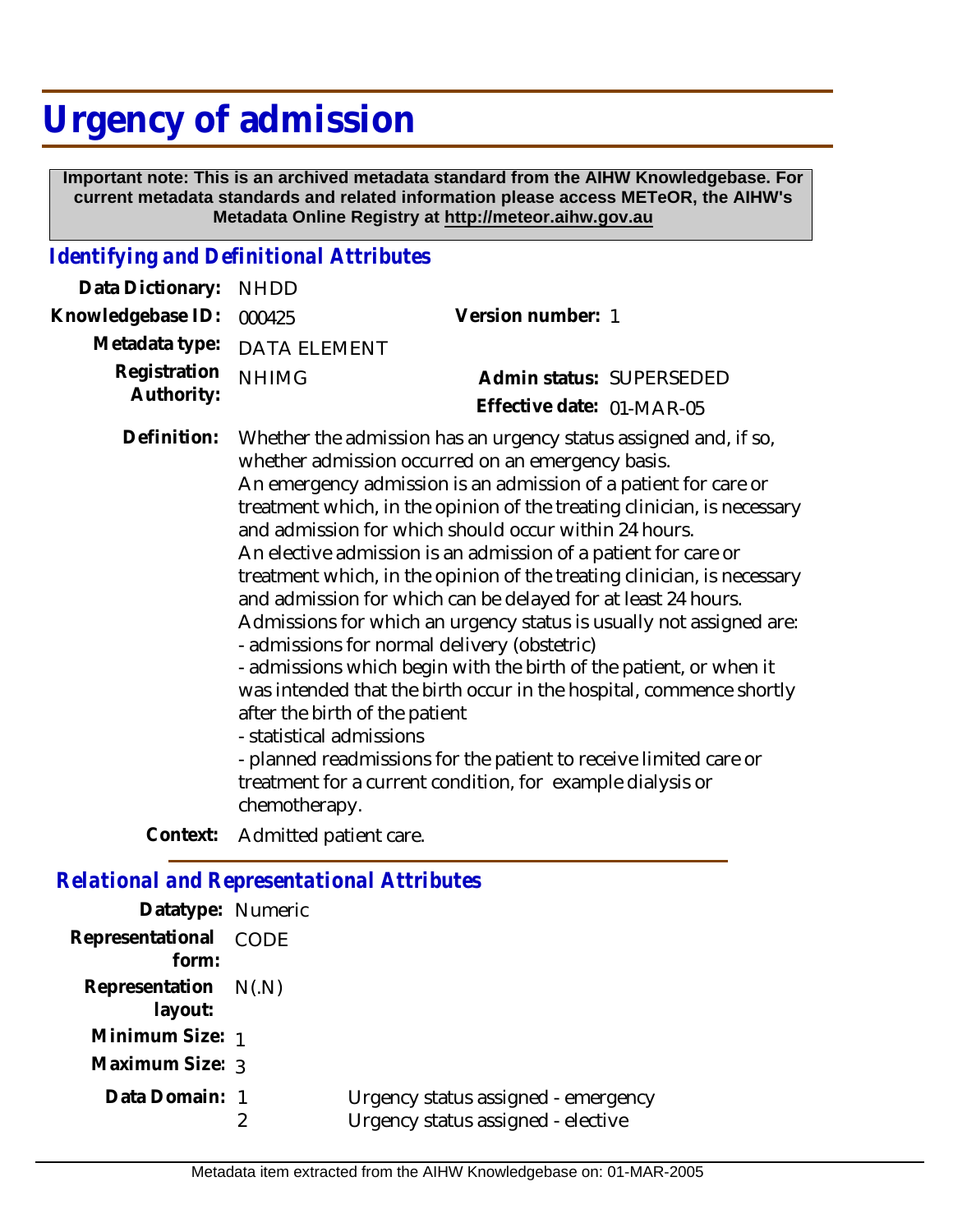## **Urgency of admission**

 **Important note: This is an archived metadata standard from the AIHW Knowledgebase. For current metadata standards and related information please access METeOR, the AIHW's Metadata Online Registry at http://meteor.aihw.gov.au**

## *Identifying and Definitional Attributes*

| Data Dictionary:                                  | <b>NHDD</b>                                                                                                                                                                                                                                                                                                                                                                                                                                                                                                                                                                                                                                                                                                                                                                                                                                                                                                                                                                                                                      |                                                       |
|---------------------------------------------------|----------------------------------------------------------------------------------------------------------------------------------------------------------------------------------------------------------------------------------------------------------------------------------------------------------------------------------------------------------------------------------------------------------------------------------------------------------------------------------------------------------------------------------------------------------------------------------------------------------------------------------------------------------------------------------------------------------------------------------------------------------------------------------------------------------------------------------------------------------------------------------------------------------------------------------------------------------------------------------------------------------------------------------|-------------------------------------------------------|
| Knowledgebase ID:                                 | 000425                                                                                                                                                                                                                                                                                                                                                                                                                                                                                                                                                                                                                                                                                                                                                                                                                                                                                                                                                                                                                           | Version number: 1                                     |
| Metadata type:                                    | <b>DATA ELEMENT</b>                                                                                                                                                                                                                                                                                                                                                                                                                                                                                                                                                                                                                                                                                                                                                                                                                                                                                                                                                                                                              |                                                       |
| Registration<br>Authority:                        | <b>NHIMG</b>                                                                                                                                                                                                                                                                                                                                                                                                                                                                                                                                                                                                                                                                                                                                                                                                                                                                                                                                                                                                                     | Admin status: SUPERSEDED<br>Effective date: 01-MAR-05 |
| Definition:                                       | Whether the admission has an urgency status assigned and, if so,<br>whether admission occurred on an emergency basis.<br>An emergency admission is an admission of a patient for care or<br>treatment which, in the opinion of the treating clinician, is necessary<br>and admission for which should occur within 24 hours.<br>An elective admission is an admission of a patient for care or<br>treatment which, in the opinion of the treating clinician, is necessary<br>and admission for which can be delayed for at least 24 hours.<br>Admissions for which an urgency status is usually not assigned are:<br>- admissions for normal delivery (obstetric)<br>- admissions which begin with the birth of the patient, or when it<br>was intended that the birth occur in the hospital, commence shortly<br>after the birth of the patient<br>- statistical admissions<br>- planned readmissions for the patient to receive limited care or<br>treatment for a current condition, for example dialysis or<br>chemotherapy. |                                                       |
| Context:                                          | Admitted patient care.                                                                                                                                                                                                                                                                                                                                                                                                                                                                                                                                                                                                                                                                                                                                                                                                                                                                                                                                                                                                           |                                                       |
|                                                   |                                                                                                                                                                                                                                                                                                                                                                                                                                                                                                                                                                                                                                                                                                                                                                                                                                                                                                                                                                                                                                  |                                                       |
| <b>Relational and Representational Attributes</b> |                                                                                                                                                                                                                                                                                                                                                                                                                                                                                                                                                                                                                                                                                                                                                                                                                                                                                                                                                                                                                                  |                                                       |

| Datatype: Numeric               |                                                                           |
|---------------------------------|---------------------------------------------------------------------------|
| Representational CODE<br>form:  |                                                                           |
| Representation N(.N)<br>layout: |                                                                           |
| Minimum Size: 1                 |                                                                           |
| Maximum Size: 3                 |                                                                           |
| Data Domain: 1                  | Urgency status assigned - emergency<br>Urgency status assigned - elective |
|                                 |                                                                           |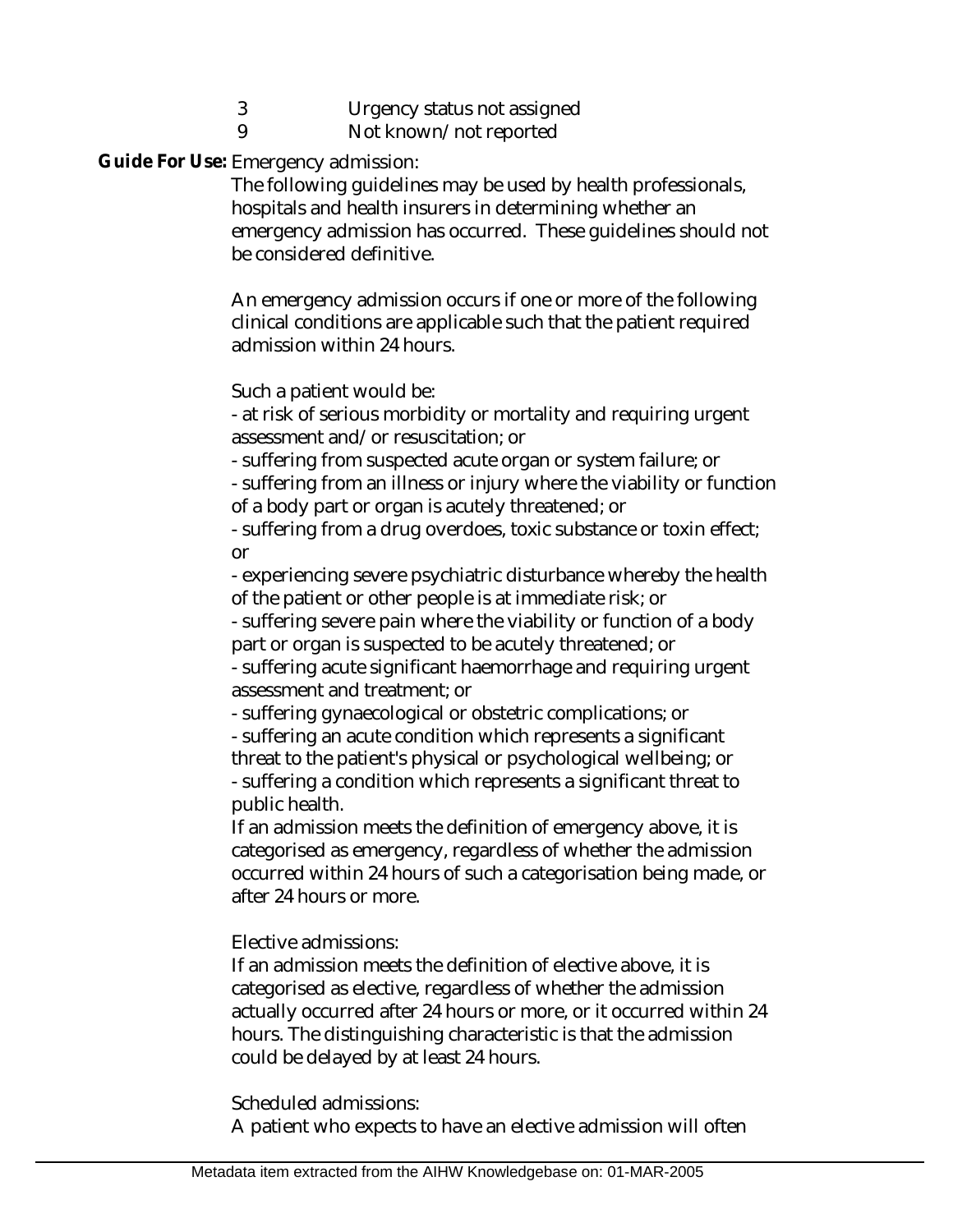- 3 Urgency status not assigned
- 9 Not known/not reported

Guide For Use: Emergency admission:

The following guidelines may be used by health professionals, hospitals and health insurers in determining whether an emergency admission has occurred. These guidelines should not be considered definitive.

An emergency admission occurs if one or more of the following clinical conditions are applicable such that the patient required admission within 24 hours.

Such a patient would be:

- at risk of serious morbidity or mortality and requiring urgent assessment and/or resuscitation; or

- suffering from suspected acute organ or system failure; or

- suffering from an illness or injury where the viability or function of a body part or organ is acutely threatened; or

- suffering from a drug overdoes, toxic substance or toxin effect; or

- experiencing severe psychiatric disturbance whereby the health of the patient or other people is at immediate risk; or

- suffering severe pain where the viability or function of a body part or organ is suspected to be acutely threatened; or

- suffering acute significant haemorrhage and requiring urgent assessment and treatment; or

- suffering gynaecological or obstetric complications; or

- suffering an acute condition which represents a significant threat to the patient's physical or psychological wellbeing; or - suffering a condition which represents a significant threat to public health.

If an admission meets the definition of emergency above, it is categorised as emergency, regardless of whether the admission occurred within 24 hours of such a categorisation being made, or after 24 hours or more.

Elective admissions:

If an admission meets the definition of elective above, it is categorised as elective, regardless of whether the admission actually occurred after 24 hours or more, or it occurred within 24 hours. The distinguishing characteristic is that the admission could be delayed by at least 24 hours.

Scheduled admissions:

A patient who expects to have an elective admission will often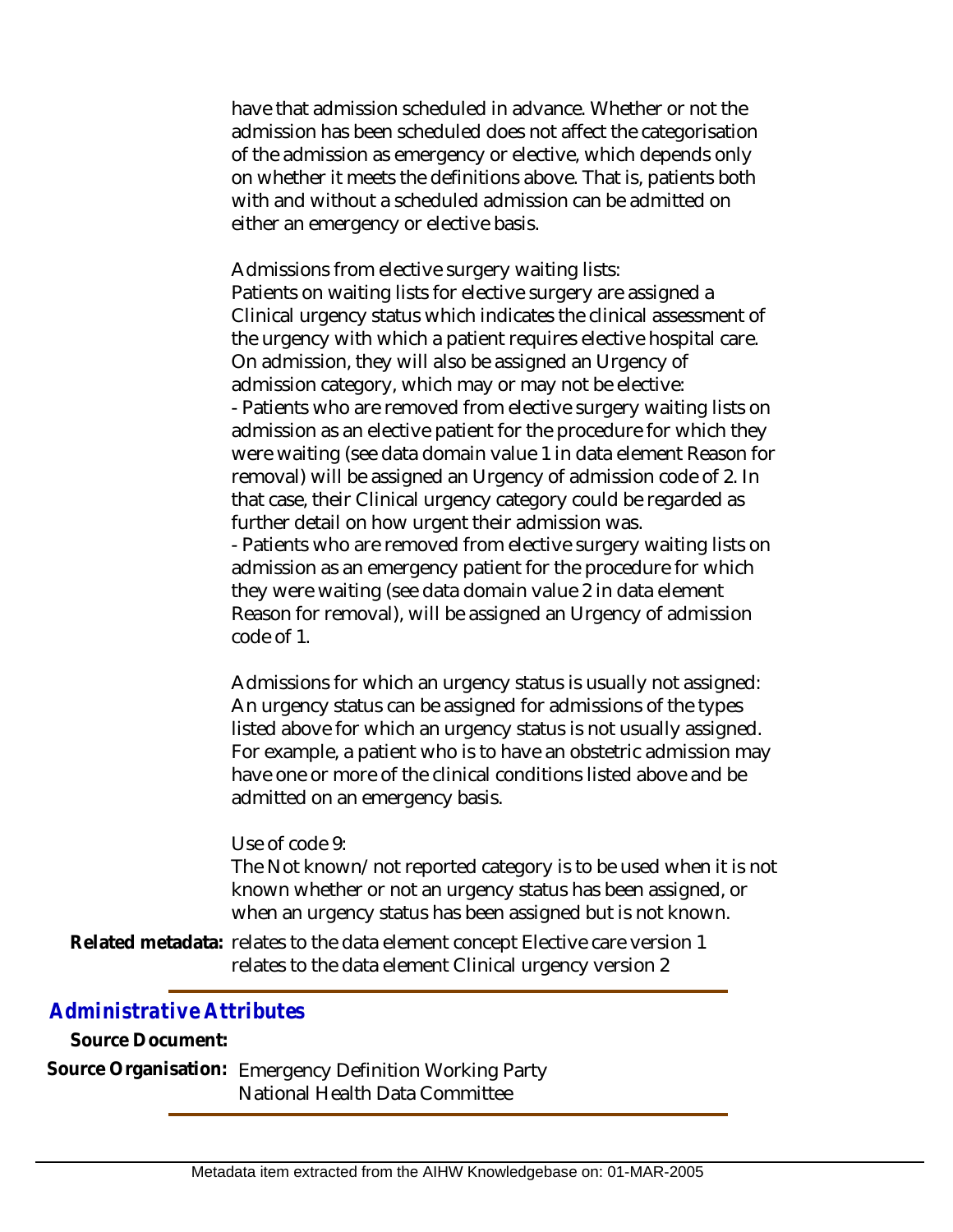have that admission scheduled in advance. Whether or not the admission has been scheduled does not affect the categorisation of the admission as emergency or elective, which depends only on whether it meets the definitions above. That is, patients both with and without a scheduled admission can be admitted on either an emergency or elective basis.

Admissions from elective surgery waiting lists: Patients on waiting lists for elective surgery are assigned a Clinical urgency status which indicates the clinical assessment of the urgency with which a patient requires elective hospital care. On admission, they will also be assigned an Urgency of admission category, which may or may not be elective: - Patients who are removed from elective surgery waiting lists on admission as an elective patient for the procedure for which they were waiting (see data domain value 1 in data element Reason for removal) will be assigned an Urgency of admission code of 2. In that case, their Clinical urgency category could be regarded as further detail on how urgent their admission was.

- Patients who are removed from elective surgery waiting lists on admission as an emergency patient for the procedure for which they were waiting (see data domain value 2 in data element Reason for removal), will be assigned an Urgency of admission code of 1.

Admissions for which an urgency status is usually not assigned: An urgency status can be assigned for admissions of the types listed above for which an urgency status is not usually assigned. For example, a patient who is to have an obstetric admission may have one or more of the clinical conditions listed above and be admitted on an emergency basis.

## Use of code 9:

The Not known/not reported category is to be used when it is not known whether or not an urgency status has been assigned, or when an urgency status has been assigned but is not known.

Related metadata: relates to the data element concept Elective care version 1 relates to the data element Clinical urgency version 2

## *Administrative Attributes*

**Source Document:**

Source Organisation: Emergency Definition Working Party National Health Data Committee